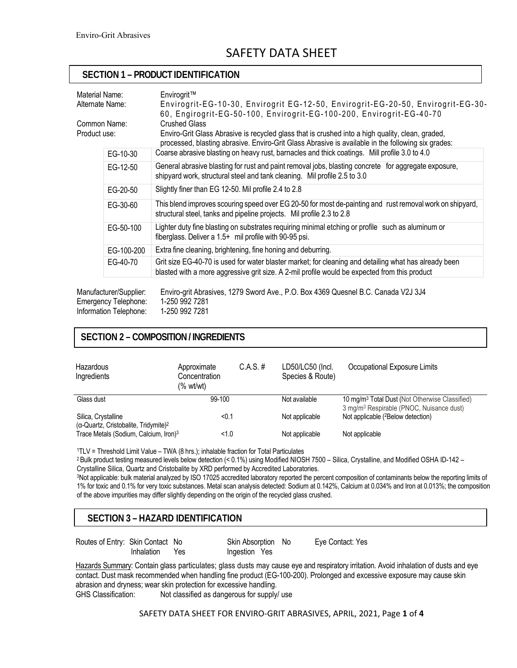# SAFFTY DATA SHFFT

### **SECTION 1 – PRODUCT IDENTIFICATION**

| Material Name:<br>Alternate Name: |                                                | Envirogrit™<br>Envirogrit-EG-10-30, Envirogrit EG-12-50, Envirogrit-EG-20-50, Envirogrit-EG-30-<br>60, Engirogrit-EG-50-100, Envirogrit-EG-100-200, Envirogrit-EG-40-70                                                        |  |  |  |  |
|-----------------------------------|------------------------------------------------|--------------------------------------------------------------------------------------------------------------------------------------------------------------------------------------------------------------------------------|--|--|--|--|
| Common Name:<br>Product use:      |                                                | <b>Crushed Glass</b><br>Enviro-Grit Glass Abrasive is recycled glass that is crushed into a high quality, clean, graded,<br>processed, blasting abrasive. Enviro-Grit Glass Abrasive is available in the following six grades: |  |  |  |  |
|                                   | EG-10-30                                       | Coarse abrasive blasting on heavy rust, barnacles and thick coatings. Mill profile 3.0 to 4.0                                                                                                                                  |  |  |  |  |
|                                   | EG-12-50                                       | General abrasive blasting for rust and paint removal jobs, blasting concrete for aggregate exposure,<br>shipyard work, structural steel and tank cleaning. Mil profile 2.5 to 3.0                                              |  |  |  |  |
|                                   | EG-20-50                                       | Slightly finer than EG 12-50. Mil profile 2.4 to 2.8                                                                                                                                                                           |  |  |  |  |
|                                   | EG-30-60                                       | This blend improves scouring speed over EG 20-50 for most de-painting and rust removal work on shipyard,<br>structural steel, tanks and pipeline projects. Mil profile 2.3 to 2.8                                              |  |  |  |  |
|                                   | EG-50-100                                      | Lighter duty fine blasting on substrates requiring minimal etching or profile such as aluminum or<br>fiberglass. Deliver a 1.5+ mil profile with 90-95 psi.                                                                    |  |  |  |  |
|                                   | EG-100-200                                     | Extra fine cleaning, brightening, fine honing and deburring.                                                                                                                                                                   |  |  |  |  |
|                                   | EG-40-70                                       | Grit size EG-40-70 is used for water blaster market; for cleaning and detailing what has already been<br>blasted with a more aggressive grit size. A 2-mil profile would be expected from this product                         |  |  |  |  |
|                                   | Manufacturer/Supplier:<br>Emergency Telephone: | Enviro-grit Abrasives, 1279 Sword Ave., P.O. Box 4369 Quesnel B.C. Canada V2J 3J4<br>1-250 992 7281                                                                                                                            |  |  |  |  |

Information Telephone: 1-250 992 7281

### **SECTION 2 – COMPOSITION / INGREDIENTS**

| Hazardous<br>Ingredients                                                | Approximate<br>Concentration<br>(% wt/wt) | $C.A.S.$ # | LD50/LC50 (Incl.<br>Species & Route) | Occupational Exposure Limits                                                                                       |
|-------------------------------------------------------------------------|-------------------------------------------|------------|--------------------------------------|--------------------------------------------------------------------------------------------------------------------|
| Glass dust                                                              | 99-100                                    |            | Not available                        | 10 mg/m <sup>3</sup> Total Dust (Not Otherwise Classified)<br>3 mg/m <sup>3</sup> Respirable (PNOC, Nuisance dust) |
| Silica, Crystalline<br>(a-Quartz, Cristobalite, Tridymite) <sup>2</sup> | < 0.1                                     |            | Not applicable                       | Not applicable ( <sup>2</sup> Below detection)                                                                     |
| Trace Metals (Sodium, Calcium, Iron) <sup>3</sup>                       | 1.0                                       |            | Not applicable                       | Not applicable                                                                                                     |

1TLV = Threshold Limit Value – TWA (8 hrs.); inhalable fraction for Total Particulates

2 Bulk product testing measured levels below detection (< 0.1%) using Modified NIOSH 7500 – Silica, Crystalline, and Modified OSHA ID-142 – Crystalline Silica, Quartz and Cristobalite by XRD performed by Accredited Laboratories.

3Not applicable: bulk material analyzed by ISO 17025 accredited laboratory reported the percent composition of contaminants below the reporting limits of 1% for toxic and 0.1% for very toxic substances. Metal scan analysis detected: Sodium at 0.142%, Calcium at 0.034% and Iron at 0.013%; the composition of the above impurities may differ slightly depending on the origin of the recycled glass crushed.

### **SECTION 3 – HAZARD IDENTIFICATION**

Routes of Entry: Skin Contact No Skin Absorption No Eye Contact: Yes

Inhalation Yes Ingestion Yes

Hazards Summary: Contain glass particulates; glass dusts may cause eye and respiratory irritation. Avoid inhalation of dusts and eye contact. Dust mask recommended when handling fine product (EG-100-200). Prolonged and excessive exposure may cause skin abrasion and dryness; wear skin protection for excessive handling. Not classified as dangerous for supply/ use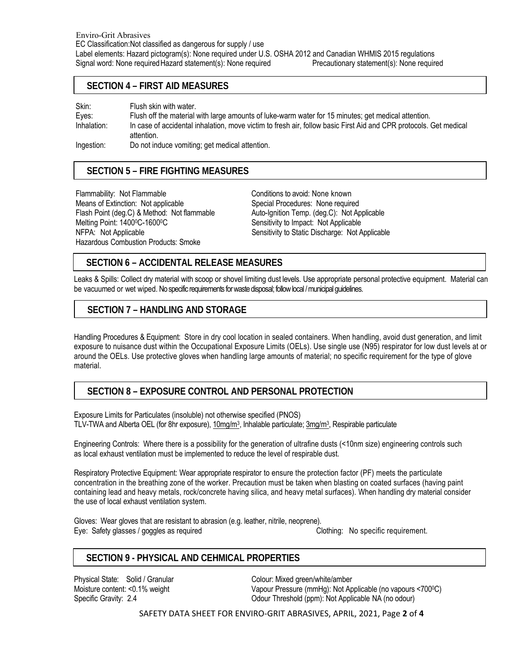### **SECTION 4 – FIRST AID MEASURES**

Skin: Flush skin with water. Eyes: Flush off the material with large amounts of luke-warm water for 15 minutes; get medical attention. Inhalation: In case of accidental inhalation, move victim to fresh air, follow basic First Aid and CPR protocols. Get medical attention.

Ingestion: Do not induce vomiting; get medical attention.

### **SECTION 5 – FIRE FIGHTING MEASURES**

Flammability: Not Flammable **Conditions** to avoid: None known Means of Extinction: Not applicable Special Procedures: None required Flash Point (deg.C) & Method: Not flammable Auto-Ignition Temp. (deg.C): Not Applicable Melting Point: 1400<sup>o</sup>C-1600<sup>o</sup>C Sensitivity to Impact: Not Applicable Hazardous Combustion Products: Smoke

NFPA: Not Applicable Sensitivity to Static Discharge: Not Applicable

### **SECTION 6 – ACCIDENTAL RELEASE MEASURES**

Leaks & Spills: Collect dry material with scoop or shovel limiting dust levels. Use appropriate personal protective equipment. Material can be vacuumed or wet wiped. No specific requirements for waste disposal; follow local / municipal guidelines.

### **SECTION 7 – HANDLING AND STORAGE**

Handling Procedures & Equipment: Store in dry cool location in sealed containers. When handling, avoid dust generation, and limit exposure to nuisance dust within the Occupational Exposure Limits (OELs). Use single use (N95) respirator for low dust levels at or around the OELs. Use protective gloves when handling large amounts of material; no specific requirement for the type of glove material.

### **SECTION 8 – EXPOSURE CONTROL AND PERSONAL PROTECTION**

Exposure Limits for Particulates (insoluble) not otherwise specified (PNOS) TLV-TWA and Alberta OEL (for 8hr exposure), 10mg/m<sup>3</sup>, Inhalable particulate; 3mg/m<sup>3</sup>, Respirable particulate

Engineering Controls: Where there is a possibility for the generation of ultrafine dusts (<10nm size) engineering controls such as local exhaust ventilation must be implemented to reduce the level of respirable dust.

Respiratory Protective Equipment: Wear appropriate respirator to ensure the protection factor (PF) meets the particulate concentration in the breathing zone of the worker. Precaution must be taken when blasting on coated surfaces (having paint containing lead and heavy metals, rock/concrete having silica, and heavy metal surfaces). When handling dry material consider the use of local exhaust ventilation system.

Gloves: Wear gloves that are resistant to abrasion (e.g. leather, nitrile, neoprene). Eye: Safety glasses / goggles as required Clothing: No specific requirement.

### **SECTION 9 - PHYSICAL AND CEHMICAL PROPERTIES**

Physical State: Solid / Granular Colour: Mixed green/white/amber

Moisture content: <0.1% weight Vapour Pressure (mmHg): Not Applicable (no vapours <700°C) Specific Gravity: 2.4 **Collection** Colour Threshold (ppm): Not Applicable NA (no odour)

SAFETY DATA SHEET FOR ENVIRO‐GRIT ABRASIVES, APRIL, 2021, Page **2** of **4**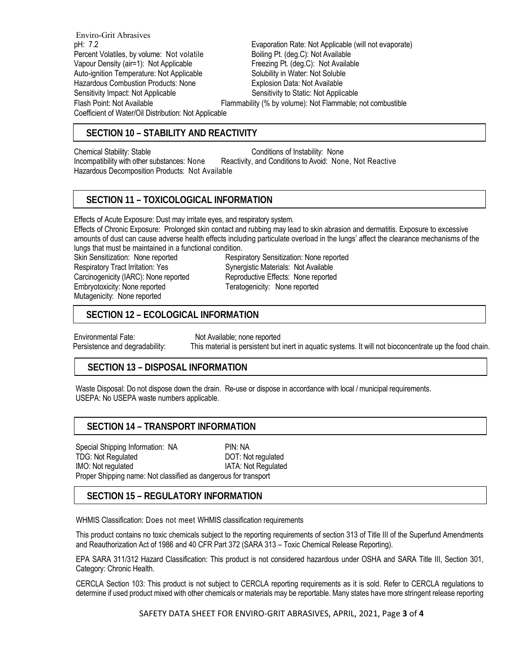Enviro-Grit Abrasives pH: 7.2<br>Percent Volatiles, by volume: Not volatile **Exaporation Rate: Not Applicable (will not evaporate)**<br>Boiling Pt. (deg.C): Not Available Percent Volatiles, by volume: Not volatile Vapour Density (air=1): Not Applicable Freezing Pt. (deg.C): Not Available Auto-ignition Temperature: Not Applicable Solubility in Water: Not Soluble Hazardous Combustion Products: None **Explosion Data: Not Available** Sensitivity Impact: Not Applicable Sensitivity to Static: Not Applicable Flash Point: Not Available Flammability (% by volume): Not Flammable; not combustible Coefficient of Water/Oil Distribution: Not Applicable

### **SECTION 10 – STABILITY AND REACTIVITY**

Chemical Stability: Stable Chemical Stability: None Incompatibility with other substances: None Reactivity, and Conditions to Avoid: None, Not Reactive Hazardous Decomposition Products: Not Available

### **SECTION 11 – TOXICOLOGICAL INFORMATION**

Effects of Acute Exposure: Dust may irritate eyes, and respiratory system.

Effects of Chronic Exposure: Prolonged skin contact and rubbing may lead to skin abrasion and dermatitis. Exposure to excessive amounts of dust can cause adverse health effects including particulate overload in the lungs' affect the clearance mechanisms of the lungs that must be maintained in a functional condition.

Respiratory Tract Irritation: Yes Synergistic Materials: Not Available Carcinogenicity (IARC): None reported Reproductive Effects: None reported Embryotoxicity: None reported Teratogenicity: None reported Mutagenicity: None reported

Skin Sensitization: None reported Respiratory Sensitization: None reported

## SECTION 12 – ECOLOGICAL INFORMATION

Environmental Fate: Not Available; none reported Persistence and degradability: This material is persistent but inert in aquatic systems. It will not bioconcentrate up the food chain.

### **SECTION 13 – DISPOSAL INFORMATION**

Waste Disposal: Do not dispose down the drain. Re-use or dispose in accordance with local / municipal requirements. USEPA: No USEPA waste numbers applicable.

### **SECTION 14 – TRANSPORT INFORMATION**

Special Shipping Information: NA PIN: NA TDG: Not Regulated DOT: Not regulated IMO: Not regulated IMO: Not Regulated Proper Shipping name: Not classified as dangerous for transport

### **SECTION 15 – REGULATORY INFORMATION**

WHMIS Classification: Does not meet WHMIS classification requirements

This product contains no toxic chemicals subject to the reporting requirements of section 313 of Title III of the Superfund Amendments and Reauthorization Act of 1986 and 40 CFR Part 372 (SARA 313 – Toxic Chemical Release Reporting).

EPA SARA 311/312 Hazard Classification: This product is not considered hazardous under OSHA and SARA Title III, Section 301, Category: Chronic Health.

CERCLA Section 103: This product is not subject to CERCLA reporting requirements as it is sold. Refer to CERCLA regulations to determine if used product mixed with other chemicals or materials may be reportable. Many states have more stringent release reporting